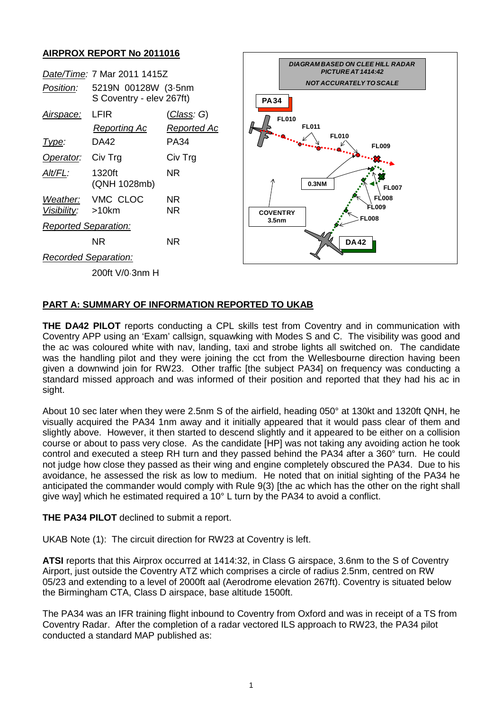## **AIRPROX REPORT No 2011016**

| <i>Position:</i>            | Date/Time: 7 Mar 2011 1415Z<br>5219N 00128W (3.5nm<br>S Coventry - elev 267ft) |                                   |
|-----------------------------|--------------------------------------------------------------------------------|-----------------------------------|
| <u>Airspace:</u>            | LFIR<br>Reporting Ac                                                           | <u>(Class</u> : G)<br>Reported Ac |
| Type:                       | DA42                                                                           | PA34                              |
| Operator: Civ Trg           |                                                                                | Civ Trg                           |
| AIt/FL:                     | 1320ft<br>(QNH 1028mb)                                                         | NR                                |
| Visibility: >10km           | Weather: VMC CLOC                                                              | NR<br>ΝR                          |
| <b>Reported Separation:</b> |                                                                                |                                   |
|                             | NR                                                                             | NR                                |
| <b>Recorded Separation:</b> |                                                                                |                                   |
|                             | $2000 + 1100$ $2000$ $H$                                                       |                                   |



200ft V/0·3nm H

## **PART A: SUMMARY OF INFORMATION REPORTED TO UKAB**

**THE DA42 PILOT** reports conducting a CPL skills test from Coventry and in communication with Coventry APP using an 'Exam' callsign, squawking with Modes S and C. The visibility was good and the ac was coloured white with nav, landing, taxi and strobe lights all switched on. The candidate was the handling pilot and they were joining the cct from the Wellesbourne direction having been given a downwind join for RW23. Other traffic [the subject PA34] on frequency was conducting a standard missed approach and was informed of their position and reported that they had his ac in sight.

About 10 sec later when they were 2.5nm S of the airfield, heading 050° at 130kt and 1320ft QNH, he visually acquired the PA34 1nm away and it initially appeared that it would pass clear of them and slightly above. However, it then started to descend slightly and it appeared to be either on a collision course or about to pass very close. As the candidate [HP] was not taking any avoiding action he took control and executed a steep RH turn and they passed behind the PA34 after a 360° turn. He could not judge how close they passed as their wing and engine completely obscured the PA34. Due to his avoidance, he assessed the risk as low to medium. He noted that on initial sighting of the PA34 he anticipated the commander would comply with Rule 9(3) [the ac which has the other on the right shall give way] which he estimated required a 10° L turn by the PA34 to avoid a conflict.

**THE PA34 PILOT** declined to submit a report.

UKAB Note (1): The circuit direction for RW23 at Coventry is left.

**ATSI** reports that this Airprox occurred at 1414:32, in Class G airspace, 3.6nm to the S of Coventry Airport, just outside the Coventry ATZ which comprises a circle of radius 2.5nm, centred on RW 05/23 and extending to a level of 2000ft aal (Aerodrome elevation 267ft). Coventry is situated below the Birmingham CTA, Class D airspace, base altitude 1500ft.

The PA34 was an IFR training flight inbound to Coventry from Oxford and was in receipt of a TS from Coventry Radar. After the completion of a radar vectored ILS approach to RW23, the PA34 pilot conducted a standard MAP published as: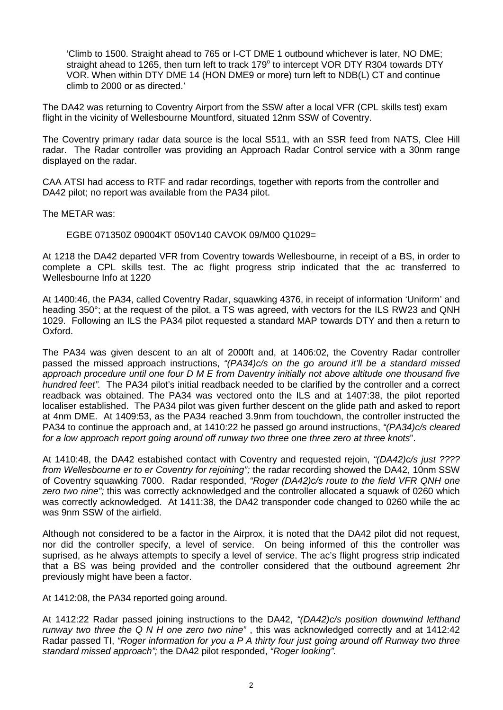'Climb to 1500. Straight ahead to 765 or I-CT DME 1 outbound whichever is later, NO DME; straight ahead to 1265, then turn left to track 179° to intercept VOR DTY R304 towards DTY VOR. When within DTY DME 14 (HON DME9 or more) turn left to NDB(L) CT and continue climb to 2000 or as directed.'

The DA42 was returning to Coventry Airport from the SSW after a local VFR (CPL skills test) exam flight in the vicinity of Wellesbourne Mountford, situated 12nm SSW of Coventry.

The Coventry primary radar data source is the local S511, with an SSR feed from NATS, Clee Hill radar. The Radar controller was providing an Approach Radar Control service with a 30nm range displayed on the radar.

CAA ATSI had access to RTF and radar recordings, together with reports from the controller and DA42 pilot; no report was available from the PA34 pilot.

The METAR was:

EGBE 071350Z 09004KT 050V140 CAVOK 09/M00 Q1029=

At 1218 the DA42 departed VFR from Coventry towards Wellesbourne, in receipt of a BS, in order to complete a CPL skills test. The ac flight progress strip indicated that the ac transferred to Wellesbourne Info at 1220

At 1400:46, the PA34, called Coventry Radar, squawking 4376, in receipt of information 'Uniform' and heading 350°; at the request of the pilot, a TS was agreed, with vectors for the ILS RW23 and QNH 1029. Following an ILS the PA34 pilot requested a standard MAP towards DTY and then a return to Oxford.

The PA34 was given descent to an alt of 2000ft and, at 1406:02, the Coventry Radar controller passed the missed approach instructions, *"(PA34)c/s on the go around it'll be a standard missed approach procedure until one four D M E from Daventry initially not above altitude one thousand five hundred feet".* The PA34 pilot's initial readback needed to be clarified by the controller and a correct readback was obtained. The PA34 was vectored onto the ILS and at 1407:38, the pilot reported localiser established. The PA34 pilot was given further descent on the glide path and asked to report at 4nm DME. At 1409:53, as the PA34 reached 3.9nm from touchdown, the controller instructed the PA34 to continue the approach and, at 1410:22 he passed go around instructions, *"(PA34)c/s cleared for a low approach report going around off runway two three one three zero at three knots*".

At 1410:48, the DA42 estabished contact with Coventry and requested rejoin, *"(DA42)c/s just ???? from Wellesbourne er to er Coventry for rejoining";* the radar recording showed the DA42, 10nm SSW of Coventry squawking 7000. Radar responded, *"Roger (DA42)c/s route to the field VFR QNH one zero two nine";* this was correctly acknowledged and the controller allocated a squawk of 0260 which was correctly acknowledged. At 1411:38, the DA42 transponder code changed to 0260 while the ac was 9nm SSW of the airfield.

Although not considered to be a factor in the Airprox, it is noted that the DA42 pilot did not request, nor did the controller specify, a level of service. On being informed of this the controller was suprised, as he always attempts to specify a level of service. The ac's flight progress strip indicated that a BS was being provided and the controller considered that the outbound agreement 2hr previously might have been a factor.

At 1412:08, the PA34 reported going around.

At 1412:22 Radar passed joining instructions to the DA42, *"(DA42)c/s position downwind lefthand runway two three the Q N H one zero two nine"* , this was acknowledged correctly and at 1412:42 Radar passed TI, *"Roger information for you a P A thirty four just going around off Runway two three standard missed approach";* the DA42 pilot responded, *"Roger looking".*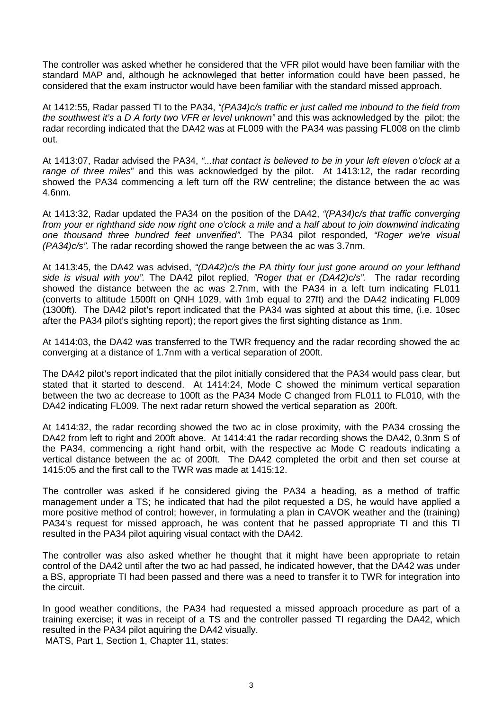The controller was asked whether he considered that the VFR pilot would have been familiar with the standard MAP and, although he acknowleged that better information could have been passed, he considered that the exam instructor would have been familiar with the standard missed approach.

At 1412:55, Radar passed TI to the PA34, *"(PA34)c/s traffic er just called me inbound to the field from the southwest it's a D A forty two VFR er level unknown"* and this was acknowledged by the pilot; the radar recording indicated that the DA42 was at FL009 with the PA34 was passing FL008 on the climb out.

At 1413:07, Radar advised the PA34, *"...that contact is believed to be in your left eleven o'clock at a range of three miles*" and this was acknowledged by the pilot. At 1413:12, the radar recording showed the PA34 commencing a left turn off the RW centreline; the distance between the ac was 4.6nm.

At 1413:32, Radar updated the PA34 on the position of the DA42, *"(PA34)c/s that traffic converging from your er righthand side now right one o'clock a mile and a half about to join downwind indicating one thousand three hundred feet unverified".* The PA34 pilot responded*, "Roger we're visual (PA34)c/s".* The radar recording showed the range between the ac was 3.7nm.

At 1413:45, the DA42 was advised, *"(DA42)c/s the PA thirty four just gone around on your lefthand side is visual with you".* The DA42 pilot replied, *"Roger that er (DA42)c/s".* The radar recording showed the distance between the ac was 2.7nm, with the PA34 in a left turn indicating FL011 (converts to altitude 1500ft on QNH 1029, with 1mb equal to 27ft) and the DA42 indicating FL009 (1300ft). The DA42 pilot's report indicated that the PA34 was sighted at about this time, (i.e. 10sec after the PA34 pilot's sighting report); the report gives the first sighting distance as 1nm.

At 1414:03, the DA42 was transferred to the TWR frequency and the radar recording showed the ac converging at a distance of 1.7nm with a vertical separation of 200ft.

The DA42 pilot's report indicated that the pilot initially considered that the PA34 would pass clear, but stated that it started to descend. At 1414:24, Mode C showed the minimum vertical separation between the two ac decrease to 100ft as the PA34 Mode C changed from FL011 to FL010, with the DA42 indicating FL009. The next radar return showed the vertical separation as 200ft.

At 1414:32, the radar recording showed the two ac in close proximity, with the PA34 crossing the DA42 from left to right and 200ft above. At 1414:41 the radar recording shows the DA42, 0.3nm S of the PA34, commencing a right hand orbit, with the respective ac Mode C readouts indicating a vertical distance between the ac of 200ft. The DA42 completed the orbit and then set course at 1415:05 and the first call to the TWR was made at 1415:12.

The controller was asked if he considered giving the PA34 a heading, as a method of traffic management under a TS; he indicated that had the pilot requested a DS, he would have applied a more positive method of control; however, in formulating a plan in CAVOK weather and the (training) PA34's request for missed approach, he was content that he passed appropriate TI and this TI resulted in the PA34 pilot aquiring visual contact with the DA42.

The controller was also asked whether he thought that it might have been appropriate to retain control of the DA42 until after the two ac had passed, he indicated however, that the DA42 was under a BS, appropriate TI had been passed and there was a need to transfer it to TWR for integration into the circuit.

In good weather conditions, the PA34 had requested a missed approach procedure as part of a training exercise; it was in receipt of a TS and the controller passed TI regarding the DA42, which resulted in the PA34 pilot aquiring the DA42 visually. MATS, Part 1, Section 1, Chapter 11, states: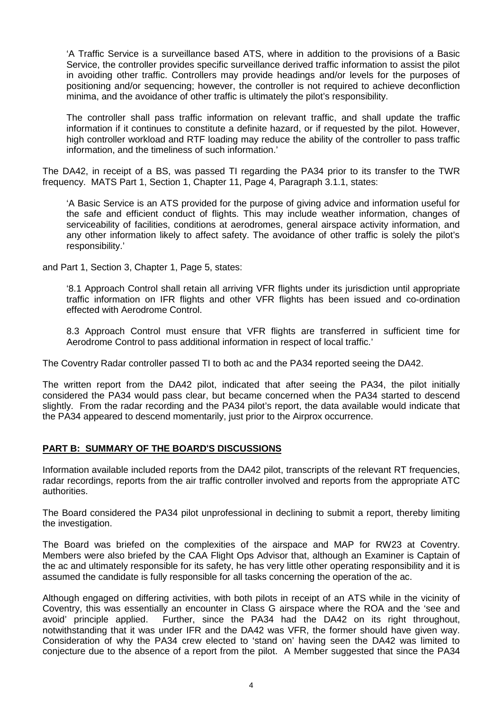'A Traffic Service is a surveillance based ATS, where in addition to the provisions of a Basic Service, the controller provides specific surveillance derived traffic information to assist the pilot in avoiding other traffic. Controllers may provide headings and/or levels for the purposes of positioning and/or sequencing; however, the controller is not required to achieve deconfliction minima, and the avoidance of other traffic is ultimately the pilot's responsibility.

The controller shall pass traffic information on relevant traffic, and shall update the traffic information if it continues to constitute a definite hazard, or if requested by the pilot. However, high controller workload and RTF loading may reduce the ability of the controller to pass traffic information, and the timeliness of such information.'

The DA42, in receipt of a BS, was passed TI regarding the PA34 prior to its transfer to the TWR frequency. MATS Part 1, Section 1, Chapter 11, Page 4, Paragraph 3.1.1, states:

'A Basic Service is an ATS provided for the purpose of giving advice and information useful for the safe and efficient conduct of flights. This may include weather information, changes of serviceability of facilities, conditions at aerodromes, general airspace activity information, and any other information likely to affect safety. The avoidance of other traffic is solely the pilot's responsibility.'

and Part 1, Section 3, Chapter 1, Page 5, states:

'8.1 Approach Control shall retain all arriving VFR flights under its jurisdiction until appropriate traffic information on IFR flights and other VFR flights has been issued and co-ordination effected with Aerodrome Control.

8.3 Approach Control must ensure that VFR flights are transferred in sufficient time for Aerodrome Control to pass additional information in respect of local traffic.'

The Coventry Radar controller passed TI to both ac and the PA34 reported seeing the DA42.

The written report from the DA42 pilot, indicated that after seeing the PA34, the pilot initially considered the PA34 would pass clear, but became concerned when the PA34 started to descend slightly. From the radar recording and the PA34 pilot's report, the data available would indicate that the PA34 appeared to descend momentarily, just prior to the Airprox occurrence.

## **PART B: SUMMARY OF THE BOARD'S DISCUSSIONS**

Information available included reports from the DA42 pilot, transcripts of the relevant RT frequencies, radar recordings, reports from the air traffic controller involved and reports from the appropriate ATC authorities.

The Board considered the PA34 pilot unprofessional in declining to submit a report, thereby limiting the investigation.

The Board was briefed on the complexities of the airspace and MAP for RW23 at Coventry. Members were also briefed by the CAA Flight Ops Advisor that, although an Examiner is Captain of the ac and ultimately responsible for its safety, he has very little other operating responsibility and it is assumed the candidate is fully responsible for all tasks concerning the operation of the ac.

Although engaged on differing activities, with both pilots in receipt of an ATS while in the vicinity of Coventry, this was essentially an encounter in Class G airspace where the ROA and the 'see and avoid' principle applied. Further, since the PA34 had the DA42 on its right throughout, notwithstanding that it was under IFR and the DA42 was VFR, the former should have given way. Consideration of why the PA34 crew elected to 'stand on' having seen the DA42 was limited to conjecture due to the absence of a report from the pilot. A Member suggested that since the PA34